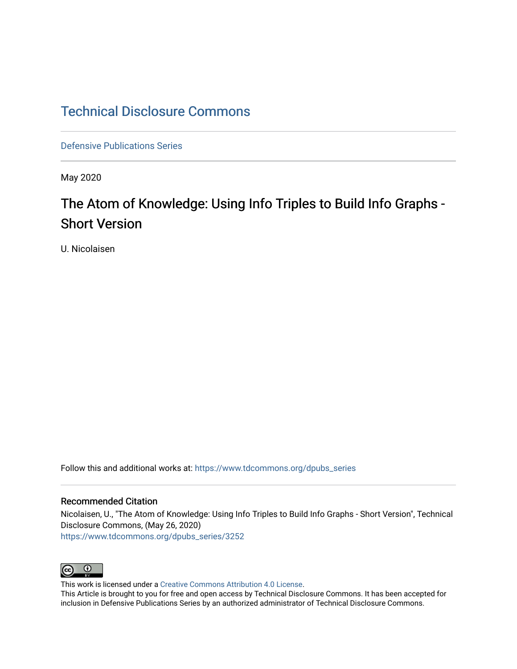### [Technical Disclosure Commons](https://www.tdcommons.org/)

[Defensive Publications Series](https://www.tdcommons.org/dpubs_series)

May 2020

## The Atom of Knowledge: Using Info Triples to Build Info Graphs -Short Version

U. Nicolaisen

Follow this and additional works at: [https://www.tdcommons.org/dpubs\\_series](https://www.tdcommons.org/dpubs_series?utm_source=www.tdcommons.org%2Fdpubs_series%2F3252&utm_medium=PDF&utm_campaign=PDFCoverPages) 

### Recommended Citation

Nicolaisen, U., "The Atom of Knowledge: Using Info Triples to Build Info Graphs - Short Version", Technical Disclosure Commons, (May 26, 2020) [https://www.tdcommons.org/dpubs\\_series/3252](https://www.tdcommons.org/dpubs_series/3252?utm_source=www.tdcommons.org%2Fdpubs_series%2F3252&utm_medium=PDF&utm_campaign=PDFCoverPages)



This work is licensed under a [Creative Commons Attribution 4.0 License](http://creativecommons.org/licenses/by/4.0/deed.en_US).

This Article is brought to you for free and open access by Technical Disclosure Commons. It has been accepted for inclusion in Defensive Publications Series by an authorized administrator of Technical Disclosure Commons.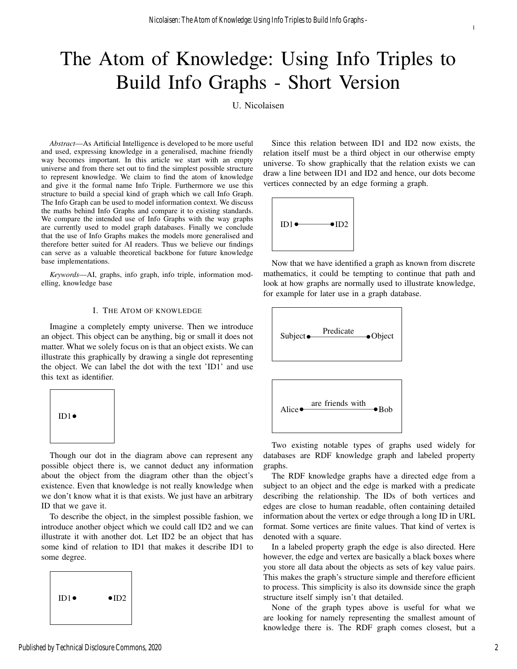# The Atom of Knowledge: Using Info Triples to Build Info Graphs - Short Version

U. Nicolaisen

*Abstract*—As Artificial Intelligence is developed to be more useful and used, expressing knowledge in a generalised, machine friendly way becomes important. In this article we start with an empty universe and from there set out to find the simplest possible structure to represent knowledge. We claim to find the atom of knowledge and give it the formal name Info Triple. Furthermore we use this structure to build a special kind of graph which we call Info Graph. The Info Graph can be used to model information context. We discuss the maths behind Info Graphs and compare it to existing standards. We compare the intended use of Info Graphs with the way graphs are currently used to model graph databases. Finally we conclude that the use of Info Graphs makes the models more generalised and therefore better suited for AI readers. Thus we believe our findings can serve as a valuable theoretical backbone for future knowledge base implementations.

*Keywords*—AI, graphs, info graph, info triple, information modelling, knowledge base

### I. THE ATOM OF KNOWLEDGE

Imagine a completely empty universe. Then we introduce an object. This object can be anything, big or small it does not matter. What we solely focus on is that an object exists. We can illustrate this graphically by drawing a single dot representing the object. We can label the dot with the text 'ID1' and use this text as identifier.



Though our dot in the diagram above can represent any possible object there is, we cannot deduct any information about the object from the diagram other than the object's existence. Even that knowledge is not really knowledge when we don't know what it is that exists. We just have an arbitrary ID that we gave it.

To describe the object, in the simplest possible fashion, we introduce another object which we could call ID2 and we can illustrate it with another dot. Let ID2 be an object that has some kind of relation to ID1 that makes it describe ID1 to some degree.



Since this relation between ID1 and ID2 now exists, the relation itself must be a third object in our otherwise empty universe. To show graphically that the relation exists we can draw a line between ID1 and ID2 and hence, our dots become vertices connected by an edge forming a graph.



Now that we have identified a graph as known from discrete mathematics, it could be tempting to continue that path and look at how graphs are normally used to illustrate knowledge, for example for later use in a graph database.





Two existing notable types of graphs used widely for databases are RDF knowledge graph and labeled property graphs.

The RDF knowledge graphs have a directed edge from a subject to an object and the edge is marked with a predicate describing the relationship. The IDs of both vertices and edges are close to human readable, often containing detailed information about the vertex or edge through a long ID in URL format. Some vertices are finite values. That kind of vertex is denoted with a square.

In a labeled property graph the edge is also directed. Here however, the edge and vertex are basically a black boxes where you store all data about the objects as sets of key value pairs. This makes the graph's structure simple and therefore efficient to process. This simplicity is also its downside since the graph structure itself simply isn't that detailed.

None of the graph types above is useful for what we are looking for namely representing the smallest amount of knowledge there is. The RDF graph comes closest, but a